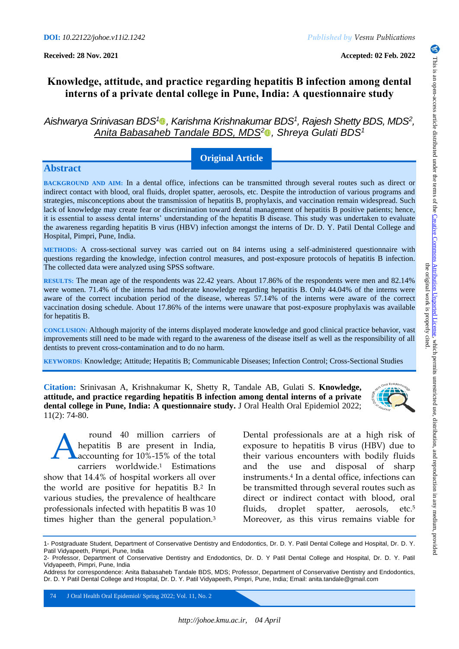**Received: 28 Nov. 2021 Accepted: 02 Feb. 2022**

# **Knowledge, attitude, and practice regarding hepatitis B infection among dental interns of a private dental college in Pune, India: A questionnaire study**

*Aishwarya Srinivasan BDS[1](https://orcid.org/0000-0003-1094-1034) , Karishma Krishnakumar BDS<sup>1</sup> , Rajesh Shetty BDS, MDS<sup>2</sup> , Anita Babasaheb Tandale BDS, MDS[2](https://orcid.org/0000-0001-8912-8585) , Shreya Gulati BDS<sup>1</sup>*

## **Original Article**

## **Abstract**

**BACKGROUND AND AIM:** In a dental office, infections can be transmitted through several routes such as direct or indirect contact with blood, oral fluids, droplet spatter, aerosols, etc. Despite the introduction of various programs and strategies, misconceptions about the transmission of hepatitis B, prophylaxis, and vaccination remain widespread. Such lack of knowledge may create fear or discrimination toward dental management of hepatitis B positive patients; hence, it is essential to assess dental interns' understanding of the hepatitis B disease. This study was undertaken to evaluate the awareness regarding hepatitis B virus (HBV) infection amongst the interns of Dr. D. Y. Patil Dental College and Hospital, Pimpri, Pune, India.

**METHODS:** A cross-sectional survey was carried out on 84 interns using a self-administered questionnaire with questions regarding the knowledge, infection control measures, and post-exposure protocols of hepatitis B infection. The collected data were analyzed using SPSS software.

**RESULTS:** The mean age of the respondents was 22.42 years. About 17.86% of the respondents were men and 82.14% were women. 71.4% of the interns had moderate knowledge regarding hepatitis B. Only 44.04% of the interns were aware of the correct incubation period of the disease, whereas 57.14% of the interns were aware of the correct vaccination dosing schedule. About 17.86% of the interns were unaware that post-exposure prophylaxis was available for hepatitis B.

**CONCLUSION:** Although majority of the interns displayed moderate knowledge and good clinical practice behavior, vast improvements still need to be made with regard to the awareness of the disease itself as well as the responsibility of all dentists to prevent cross-contamination and to do no harm.

**KEYWORDS:** Knowledge; Attitude; Hepatitis B; Communicable Diseases; Infection Control; Cross-Sectional Studies

**Citation:** Srinivasan A, Krishnakumar K, Shetty R, Tandale AB, Gulati S. **Knowledge, attitude, and practice regarding hepatitis B infection among dental interns of a private dental college in Pune, India: A questionnaire study.** J Oral Health Oral Epidemiol 2022; 11(2): 74-80.

round 40 million carriers of hepatitis B are present in India, accounting for 10%-15% of the total carriers worldwide.<sup>1</sup> Estimations show that 14.4% of hospital workers all over the world are positive for hepatitis B.<sup>2</sup> In various studies, the prevalence of healthcare professionals infected with hepatitis B was 10 times higher than the general population.<sup>3</sup> A

Dental professionals are at a high risk of exposure to hepatitis B virus (HBV) due to their various encounters with bodily fluids and the use and disposal of sharp instruments.<sup>4</sup> In a dental office, infections can be transmitted through several routes such as direct or indirect contact with blood, oral fluids, droplet spatter, aerosols, etc.<sup>5</sup> Moreover, as this virus remains viable for

74 J Oral Health Oral Epidemiol/ Spring 2022; Vol. 11, No. 2

<sup>1-</sup> Postgraduate Student, Department of Conservative Dentistry and Endodontics, Dr. D. Y. Patil Dental College and Hospital, Dr. D. Y. Patil Vidyapeeth, Pimpri, Pune, India

<sup>2-</sup> Professor, Department of Conservative Dentistry and Endodontics, Dr. D. Y Patil Dental College and Hospital, Dr. D. Y. Patil Vidyapeeth, Pimpri, Pune, India

Address for correspondence: Anita Babasaheb Tandale BDS, MDS; Professor, Department of Conservative Dentistry and Endodontics, Dr. D. Y Patil Dental College and Hospital, Dr. D. Y. Patil Vidyapeeth, Pimpri, Pune, India; Email: anita.tandale@gmail.com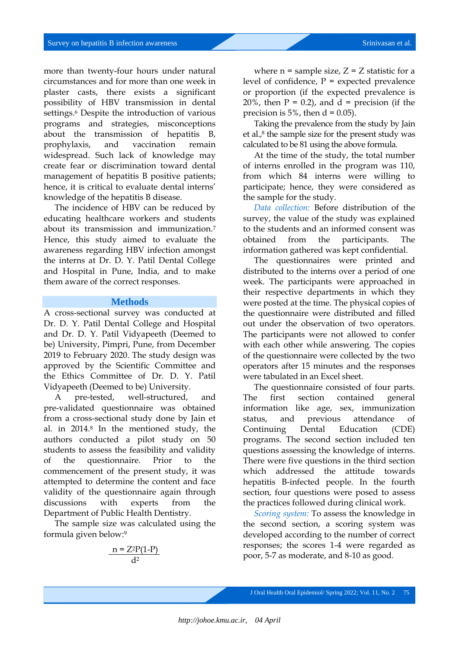more than twenty-four hours under natural circumstances and for more than one week in plaster casts, there exists a significant possibility of HBV transmission in dental settings. <sup>6</sup> Despite the introduction of various programs and strategies, misconceptions about the transmission of hepatitis B, prophylaxis, and vaccination remain widespread. Such lack of knowledge may create fear or discrimination toward dental management of hepatitis B positive patients; hence, it is critical to evaluate dental interns' knowledge of the hepatitis B disease.

The incidence of HBV can be reduced by educating healthcare workers and students about its transmission and immunization.<sup>7</sup> Hence, this study aimed to evaluate the awareness regarding HBV infection amongst the interns at Dr. D. Y. Patil Dental College and Hospital in Pune, India, and to make them aware of the correct responses.

#### **Methods**

A cross-sectional survey was conducted at Dr. D. Y. Patil Dental College and Hospital and Dr. D. Y. Patil Vidyapeeth (Deemed to be) University, Pimpri, Pune, from December 2019 to February 2020. The study design was approved by the Scientific Committee and the Ethics Committee of Dr. D. Y. Patil Vidyapeeth (Deemed to be) University.

A pre-tested, well-structured, and pre-validated questionnaire was obtained from a cross-sectional study done by Jain et al. in 2014.<sup>8</sup> In the mentioned study, the authors conducted a pilot study on 50 students to assess the feasibility and validity of the questionnaire. Prior to commencement of the present study, it was attempted to determine the content and face validity of the questionnaire again through discussions with experts from the Department of Public Health Dentistry.

The sample size was calculated using the formula given below:<sup>9</sup>

$$
\frac{n = Z^2 P(1-P)}{d^2}
$$

where  $n =$  sample size,  $Z = Z$  statistic for a level of confidence,  $P =$  expected prevalence or proportion (if the expected prevalence is 20%, then  $P = 0.2$ ), and  $d = \text{precision (if the)}$ precision is  $5\%$ , then  $d = 0.05$ ).

Taking the prevalence from the study by Jain et al. $\beta$  the sample size for the present study was calculated to be 81 using the above formula.

At the time of the study, the total number of interns enrolled in the program was 110, from which 84 interns were willing to participate; hence, they were considered as the sample for the study.

*Data collection:* Before distribution of the survey, the value of the study was explained to the students and an informed consent was obtained from the participants. The information gathered was kept confidential.

The questionnaires were printed and distributed to the interns over a period of one week. The participants were approached in their respective departments in which they were posted at the time. The physical copies of the questionnaire were distributed and filled out under the observation of two operators. The participants were not allowed to confer with each other while answering. The copies of the questionnaire were collected by the two operators after 15 minutes and the responses were tabulated in an Excel sheet.

The questionnaire consisted of four parts. The first section contained general information like age, sex, immunization status, and previous attendance of Continuing Dental Education (CDE) programs. The second section included ten questions assessing the knowledge of interns. There were five questions in the third section which addressed the attitude towards hepatitis B-infected people. In the fourth section, four questions were posed to assess the practices followed during clinical work.

*Scoring system:* To assess the knowledge in the second section, a scoring system was developed according to the number of correct responses; the scores 1-4 were regarded as poor, 5-7 as moderate, and 8-10 as good.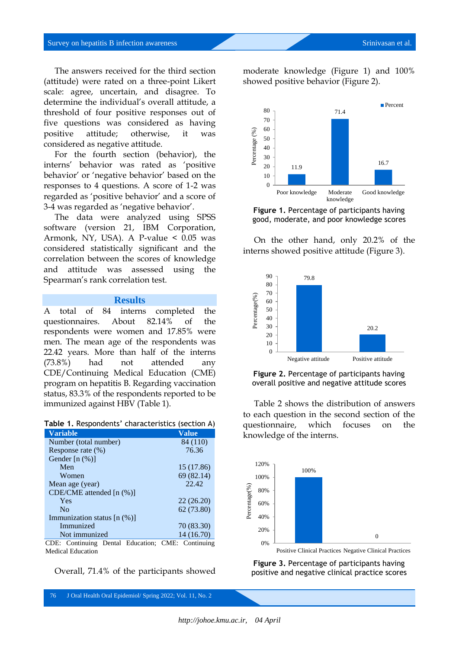The answers received for the third section (attitude) were rated on a three-point Likert scale: agree, uncertain, and disagree. To determine the individual's overall attitude, a threshold of four positive responses out of five questions was considered as having positive attitude; otherwise, it was considered as negative attitude.

For the fourth section (behavior), the interns' behavior was rated as 'positive behavior' or 'negative behavior' based on the responses to 4 questions. A score of 1-2 was regarded as 'positive behavior' and a score of 3-4 was regarded as 'negative behavior'.

The data were analyzed using SPSS software (version 21, IBM Corporation, Armonk, NY, USA). A P-value < 0.05 was considered statistically significant and the correlation between the scores of knowledge and attitude was assessed using the Spearman's rank correlation test.

#### **Results**

A total of 84 interns completed the questionnaires. About 82.14% of the respondents were women and 17.85% were men. The mean age of the respondents was 22.42 years. More than half of the interns (73.8%) had not attended any CDE/Continuing Medical Education (CME) program on hepatitis B. Regarding vaccination status, 83.3% of the respondents reported to be immunized against HBV (Table 1).

**Table 1.** Respondents' characteristics (section A)

| <b>Variable</b>                   | Value           |
|-----------------------------------|-----------------|
| Number (total number)             | 84 (110)        |
| Response rate (%)                 | 76.36           |
| Gender $[n (\%)]$                 |                 |
| Men                               | 15 (17.86)      |
| Women                             | 69 (82.14)      |
| Mean age (year)                   | 22.42           |
| $CDE/CME$ attended $[n (%)]$      |                 |
| Yes                               | 22(26.20)       |
| No                                | 62 (73.80)      |
| Immunization status $[n (\%)]$    |                 |
| Immunized                         | 70 (83.30)      |
| Not immunized                     | 14 (16.70)      |
| CDE: Continuing Dental Education: | CME: Continuing |

Medical Education

Overall, 71.4% of the participants showed

moderate knowledge (Figure 1) and 100% showed positive behavior (Figure 2).



**Figure 1.** Percentage of participants having good, moderate, and poor knowledge scores

On the other hand, only 20.2% of the interns showed positive attitude (Figure 3).



**Figure 2.** Percentage of participants having overall positive and negative attitude scores

Table 2 shows the distribution of answers to each question in the second section of the questionnaire, which focuses on the knowledge of the interns.



Positive Clinical Practices Negative Clinical Practices

**Figure 3.** Percentage of participants having positive and negative clinical practice scores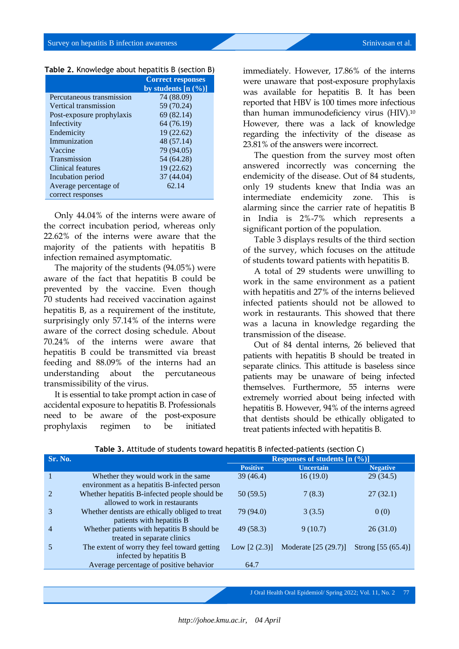|                           | <b>Correct responses</b> |  |
|---------------------------|--------------------------|--|
|                           | by students $[n (%)]$    |  |
| Percutaneous transmission | 74 (88.09)               |  |
| Vertical transmission     | 59 (70.24)               |  |
| Post-exposure prophylaxis | 69 (82.14)               |  |
| Infectivity               | 64 (76.19)               |  |
| Endemicity                | 19(22.62)                |  |
| Immunization              | 48 (57.14)               |  |
| Vaccine                   | 79 (94.05)               |  |
| Transmission              | 54 (64.28)               |  |
| Clinical features         | 19(22.62)                |  |
| Incubation period         | 37 (44.04)               |  |
| Average percentage of     | 62.14                    |  |
| correct responses         |                          |  |

| Table 2. Knowledge about hepatitis B (section B) |  |  |  |  |  |
|--------------------------------------------------|--|--|--|--|--|
|--------------------------------------------------|--|--|--|--|--|

Only 44.04% of the interns were aware of the correct incubation period, whereas only 22.62% of the interns were aware that the majority of the patients with hepatitis B infection remained asymptomatic.

The majority of the students (94.05%) were aware of the fact that hepatitis B could be prevented by the vaccine. Even though 70 students had received vaccination against hepatitis B, as a requirement of the institute, surprisingly only 57.14% of the interns were aware of the correct dosing schedule. About 70.24% of the interns were aware that hepatitis B could be transmitted via breast feeding and 88.09% of the interns had an understanding about the percutaneous transmissibility of the virus.

It is essential to take prompt action in case of accidental exposure to hepatitis B. Professionals need to be aware of the post-exposure prophylaxis regimen to be initiated

immediately. However, 17.86% of the interns were unaware that post-exposure prophylaxis was available for hepatitis B. It has been reported that HBV is 100 times more infectious than human immunodeficiency virus (HIV).<sup>10</sup> However, there was a lack of knowledge regarding the infectivity of the disease as 23.81% of the answers were incorrect.

The question from the survey most often answered incorrectly was concerning the endemicity of the disease. Out of 84 students, only 19 students knew that India was an intermediate endemicity zone. This is alarming since the carrier rate of hepatitis B in India is 2%-7% which represents a significant portion of the population.

Table 3 displays results of the third section of the survey, which focuses on the attitude of students toward patients with hepatitis B.

A total of 29 students were unwilling to work in the same environment as a patient with hepatitis and 27% of the interns believed infected patients should not be allowed to work in restaurants. This showed that there was a lacuna in knowledge regarding the transmission of the disease.

Out of 84 dental interns, 26 believed that patients with hepatitis B should be treated in separate clinics. This attitude is baseless since patients may be unaware of being infected themselves. Furthermore, 55 interns were extremely worried about being infected with hepatitis B. However, 94% of the interns agreed that dentists should be ethically obligated to treat patients infected with hepatitis B.

| Sr. No. |                                                 | Responses of students $[n (\%)]$ |                      |                      |
|---------|-------------------------------------------------|----------------------------------|----------------------|----------------------|
|         |                                                 | <b>Positive</b>                  | <b>Uncertain</b>     | <b>Negative</b>      |
|         | Whether they would work in the same             | 39(46.4)                         | 16(19.0)             | 29(34.5)             |
|         | environment as a hepatitis B-infected person    |                                  |                      |                      |
| 2       | Whether hepatitis B-infected people should be   | 50(59.5)                         | 7(8.3)               | 27(32.1)             |
|         | allowed to work in restaurants                  |                                  |                      |                      |
| 3       | Whether dentists are ethically obliged to treat | 79 (94.0)                        | 3(3.5)               | 0(0)                 |
|         | patients with hepatitis B                       |                                  |                      |                      |
| 4       | Whether patients with hepatitis B should be     | 49(58.3)                         | 9(10.7)              | 26(31.0)             |
|         | treated in separate clinics                     |                                  |                      |                      |
|         | The extent of worry they feel toward getting    | Low $[2 (2.3)]$                  | Moderate [25 (29.7)] | Strong $[55 (65.4)]$ |
|         | infected by hepatitis B                         |                                  |                      |                      |
|         | Average percentage of positive behavior         | 64.7                             |                      |                      |

#### **Table 3.** Attitude of students toward hepatitis B infected-patients (section C)

J Oral Health Oral Epidemiol/ Spring 2022; Vol. 11, No. 2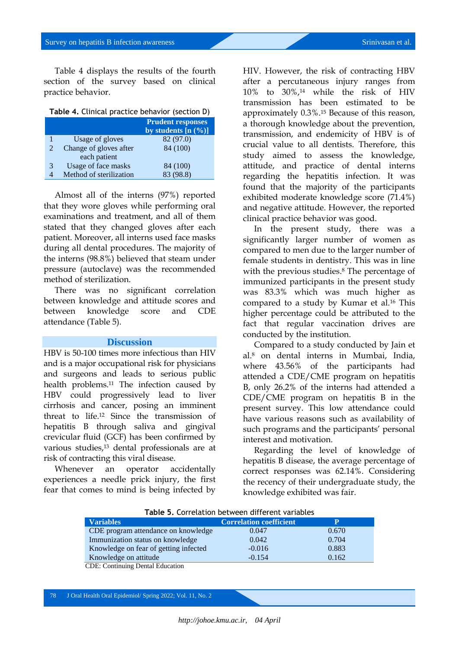Table 4 displays the results of the fourth section of the survey based on clinical practice behavior.

| Table 4. Clinical practice behavior (section D) |  |  |  |  |  |
|-------------------------------------------------|--|--|--|--|--|
|-------------------------------------------------|--|--|--|--|--|

|   | <b>Prudent responses</b> |                       |  |
|---|--------------------------|-----------------------|--|
|   |                          | by students $[n (%)]$ |  |
|   | Usage of gloves          | 82 (97.0)             |  |
|   | Change of gloves after   | 84 (100)              |  |
|   | each patient             |                       |  |
| 3 | Usage of face masks      | 84 (100)              |  |
|   | Method of sterilization  | (98.8)                |  |

Almost all of the interns (97%) reported that they wore gloves while performing oral examinations and treatment, and all of them stated that they changed gloves after each patient. Moreover, all interns used face masks during all dental procedures. The majority of the interns (98.8%) believed that steam under pressure (autoclave) was the recommended method of sterilization.

There was no significant correlation between knowledge and attitude scores and between knowledge score and CDE attendance (Table 5).

### **Discussion**

HBV is 50-100 times more infectious than HIV and is a major occupational risk for physicians and surgeons and leads to serious public health problems.<sup>11</sup> The infection caused by HBV could progressively lead to liver cirrhosis and cancer, posing an imminent threat to life.<sup>12</sup> Since the transmission of hepatitis B through saliva and gingival crevicular fluid (GCF) has been confirmed by various studies,<sup>13</sup> dental professionals are at risk of contracting this viral disease.

Whenever an operator accidentally experiences a needle prick injury, the first fear that comes to mind is being infected by

HIV. However, the risk of contracting HBV after a percutaneous injury ranges from 10% to 30%,<sup>14</sup> while the risk of HIV transmission has been estimated to be approximately 0.3%.<sup>15</sup> Because of this reason, a thorough knowledge about the prevention, transmission, and endemicity of HBV is of crucial value to all dentists. Therefore, this study aimed to assess the knowledge, attitude, and practice of dental interns regarding the hepatitis infection. It was found that the majority of the participants exhibited moderate knowledge score (71.4%) and negative attitude. However, the reported clinical practice behavior was good.

In the present study, there was a significantly larger number of women as compared to men due to the larger number of female students in dentistry. This was in line with the previous studies.<sup>8</sup> The percentage of immunized participants in the present study was 83.3% which was much higher as compared to a study by Kumar et al.<sup>16</sup> This higher percentage could be attributed to the fact that regular vaccination drives are conducted by the institution.

Compared to a study conducted by Jain et al.<sup>8</sup> on dental interns in Mumbai, India, where 43.56% of the participants had attended a CDE/CME program on hepatitis B, only 26.2% of the interns had attended a CDE/CME program on hepatitis B in the present survey. This low attendance could have various reasons such as availability of such programs and the participants' personal interest and motivation.

Regarding the level of knowledge of hepatitis B disease, the average percentage of correct responses was 62.14%. Considering the recency of their undergraduate study, the knowledge exhibited was fair.

| <b>Variables</b>                        | <b>Correlation coefficient</b> | P     |
|-----------------------------------------|--------------------------------|-------|
| CDE program attendance on knowledge     | 0.047                          | 0.670 |
| Immunization status on knowledge        | 0.042                          | 0.704 |
| Knowledge on fear of getting infected   | $-0.016$                       | 0.883 |
| Knowledge on attitude                   | $-0.154$                       | 0.162 |
| <b>CDE:</b> Continuing Dental Education |                                |       |

**Table 5.** Correlation between different variables

78 J Oral Health Oral Epidemiol/ Spring 2022; Vol. 11, No. 2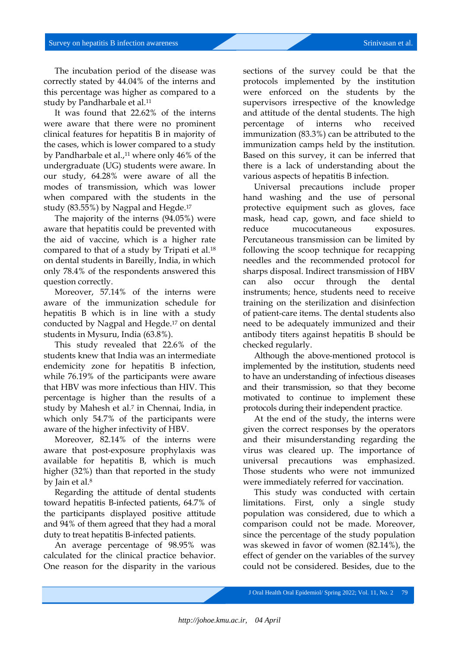The incubation period of the disease was correctly stated by 44.04% of the interns and this percentage was higher as compared to a study by Pandharbale et al.<sup>11</sup>

It was found that 22.62% of the interns were aware that there were no prominent clinical features for hepatitis B in majority of the cases, which is lower compared to a study by Pandharbale et al.,<sup>11</sup> where only 46% of the undergraduate (UG) students were aware. In our study, 64.28% were aware of all the modes of transmission, which was lower when compared with the students in the study (83.55%) by Nagpal and Hegde.<sup>17</sup>

The majority of the interns (94.05%) were aware that hepatitis could be prevented with the aid of vaccine, which is a higher rate compared to that of a study by Tripati et al.<sup>18</sup> on dental students in Bareilly, India, in which only 78.4% of the respondents answered this question correctly.

Moreover, 57.14% of the interns were aware of the immunization schedule for hepatitis B which is in line with a study conducted by Nagpal and Hegde.<sup>17</sup> on dental students in Mysuru, India (63.8%).

This study revealed that 22.6% of the students knew that India was an intermediate endemicity zone for hepatitis B infection, while 76.19% of the participants were aware that HBV was more infectious than HIV. This percentage is higher than the results of a study by Mahesh et al.<sup>7</sup> in Chennai, India, in which only 54.7% of the participants were aware of the higher infectivity of HBV.

Moreover, 82.14% of the interns were aware that post-exposure prophylaxis was available for hepatitis B, which is much higher (32%) than that reported in the study by Jain et al.<sup>8</sup>

Regarding the attitude of dental students toward hepatitis B-infected patients, 64.7% of the participants displayed positive attitude and 94% of them agreed that they had a moral duty to treat hepatitis B-infected patients.

An average percentage of 98.95% was calculated for the clinical practice behavior. One reason for the disparity in the various

sections of the survey could be that the protocols implemented by the institution were enforced on the students by the supervisors irrespective of the knowledge and attitude of the dental students. The high percentage of interns who received immunization (83.3%) can be attributed to the immunization camps held by the institution. Based on this survey, it can be inferred that there is a lack of understanding about the various aspects of hepatitis B infection.

Universal precautions include proper hand washing and the use of personal protective equipment such as gloves, face mask, head cap, gown, and face shield to reduce mucocutaneous exposures. Percutaneous transmission can be limited by following the scoop technique for recapping needles and the recommended protocol for sharps disposal. Indirect transmission of HBV can also occur through the dental instruments; hence, students need to receive training on the sterilization and disinfection of patient-care items. The dental students also need to be adequately immunized and their antibody titers against hepatitis B should be checked regularly.

Although the above-mentioned protocol is implemented by the institution, students need to have an understanding of infectious diseases and their transmission, so that they become motivated to continue to implement these protocols during their independent practice.

At the end of the study, the interns were given the correct responses by the operators and their misunderstanding regarding the virus was cleared up. The importance of universal precautions was emphasized. Those students who were not immunized were immediately referred for vaccination.

This study was conducted with certain limitations. First, only a single study population was considered, due to which a comparison could not be made. Moreover, since the percentage of the study population was skewed in favor of women (82.14%), the effect of gender on the variables of the survey could not be considered. Besides, due to the